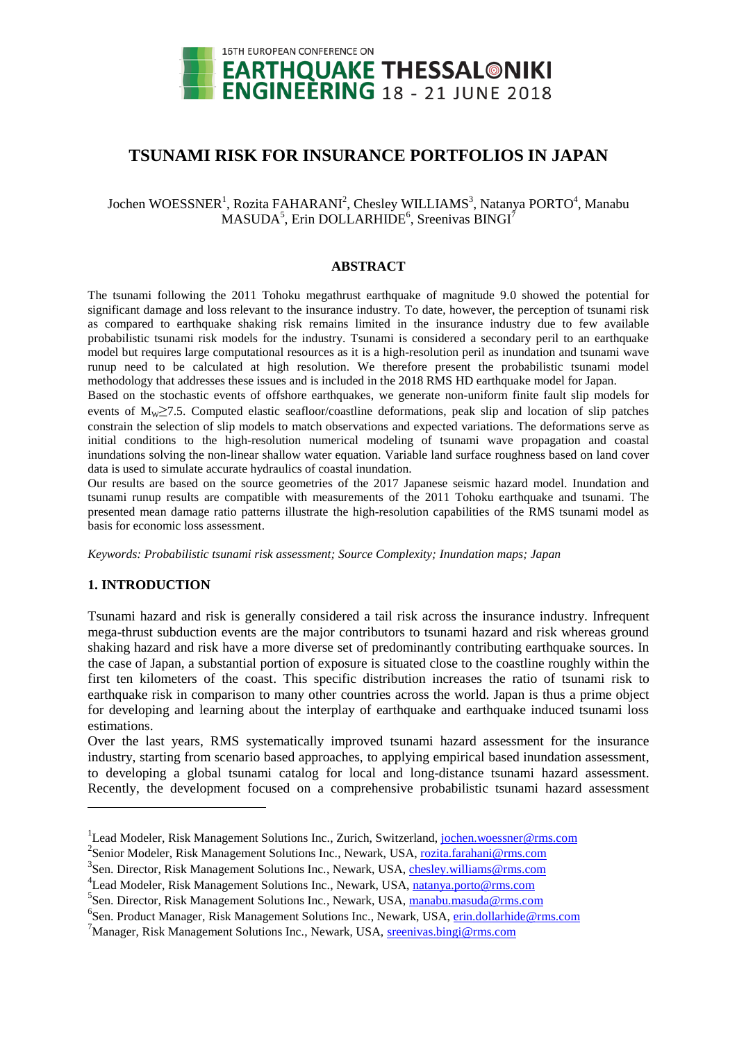

# **TSUNAMI RISK FOR INSURANCE PORTFOLIOS IN JAPAN**

# Jochen WOESSNER<sup>1</sup>, Rozita FAHARANI<sup>2</sup>, Chesley WILLIAMS<sup>3</sup>, Natanya PORTO<sup>4</sup>, Manabu  $MASUDA<sup>5</sup>$ , Erin DOLLARHIDE<sup>6</sup>, Sreenivas BINGI<sup>7</sup>

#### **ABSTRACT**

The tsunami following the 2011 Tohoku megathrust earthquake of magnitude 9.0 showed the potential for significant damage and loss relevant to the insurance industry. To date, however, the perception of tsunami risk as compared to earthquake shaking risk remains limited in the insurance industry due to few available probabilistic tsunami risk models for the industry. Tsunami is considered a secondary peril to an earthquake model but requires large computational resources as it is a high-resolution peril as inundation and tsunami wave runup need to be calculated at high resolution. We therefore present the probabilistic tsunami model methodology that addresses these issues and is included in the 2018 RMS HD earthquake model for Japan.

Based on the stochastic events of offshore earthquakes, we generate non-uniform finite fault slip models for events of  $M_W \ge 7.5$ . Computed elastic seafloor/coastline deformations, peak slip and location of slip patches constrain the selection of slip models to match observations and expected variations. The deformations serve as initial conditions to the high-resolution numerical modeling of tsunami wave propagation and coastal inundations solving the non-linear shallow water equation. Variable land surface roughness based on land cover data is used to simulate accurate hydraulics of coastal inundation.

Our results are based on the source geometries of the 2017 Japanese seismic hazard model. Inundation and tsunami runup results are compatible with measurements of the 2011 Tohoku earthquake and tsunami. The presented mean damage ratio patterns illustrate the high-resolution capabilities of the RMS tsunami model as basis for economic loss assessment.

*Keywords: Probabilistic tsunami risk assessment; Source Complexity; Inundation maps; Japan*

## **1. INTRODUCTION**

l

Tsunami hazard and risk is generally considered a tail risk across the insurance industry. Infrequent mega-thrust subduction events are the major contributors to tsunami hazard and risk whereas ground shaking hazard and risk have a more diverse set of predominantly contributing earthquake sources. In the case of Japan, a substantial portion of exposure is situated close to the coastline roughly within the first ten kilometers of the coast. This specific distribution increases the ratio of tsunami risk to earthquake risk in comparison to many other countries across the world. Japan is thus a prime object for developing and learning about the interplay of earthquake and earthquake induced tsunami loss estimations.

Over the last years, RMS systematically improved tsunami hazard assessment for the insurance industry, starting from scenario based approaches, to applying empirical based inundation assessment, to developing a global tsunami catalog for local and long-distance tsunami hazard assessment. Recently, the development focused on a comprehensive probabilistic tsunami hazard assessment

<sup>&</sup>lt;sup>1</sup> Lead Modeler, Risk Management Solutions Inc., Zurich, Switzerland, jochen.woessner@rms.com

<sup>&</sup>lt;sup>2</sup> Senior Modeler, Risk Management Solutions Inc., Newark, USA, rozita.farahani@rms.com

<sup>&</sup>lt;sup>3</sup> Sen. Director, Risk Management Solutions Inc., Newark, USA, chesley.williams@rms.com

<sup>&</sup>lt;sup>4</sup> Lead Modeler, Risk Management Solutions Inc., Newark, USA, natanya.porto@rms.com

<sup>&</sup>lt;sup>5</sup> Sen. Director, Risk Management Solutions Inc., Newark, USA, manabu.masuda@rms.com

<sup>&</sup>lt;sup>6</sup> Sen. Product Manager, Risk Management Solutions Inc., Newark, USA, *erin.dollarhide@rms.com* 

<sup>&</sup>lt;sup>7</sup>Manager, Risk Management Solutions Inc., Newark, USA, sreenivas.bingi@rms.com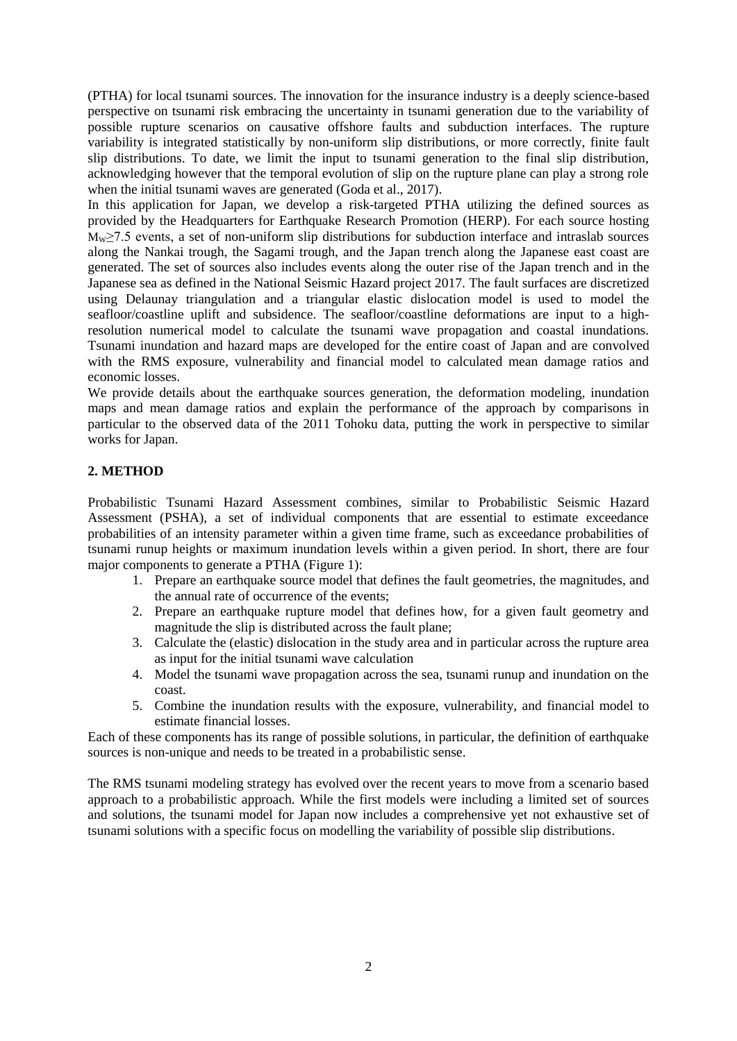(PTHA) for local tsunami sources. The innovation for the insurance industry is a deeply science-based perspective on tsunami risk embracing the uncertainty in tsunami generation due to the variability of possible rupture scenarios on causative offshore faults and subduction interfaces. The rupture variability is integrated statistically by non-uniform slip distributions, or more correctly, finite fault slip distributions. To date, we limit the input to tsunami generation to the final slip distribution, acknowledging however that the temporal evolution of slip on the rupture plane can play a strong role when the initial tsunami waves are generated (Goda et al., 2017).

In this application for Japan, we develop a risk-targeted PTHA utilizing the defined sources as provided by the Headquarters for Earthquake Research Promotion (HERP). For each source hosting  $M_{\text{W}}$  27.5 events, a set of non-uniform slip distributions for subduction interface and intraslab sources along the Nankai trough, the Sagami trough, and the Japan trench along the Japanese east coast are generated. The set of sources also includes events along the outer rise of the Japan trench and in the Japanese sea as defined in the National Seismic Hazard project 2017. The fault surfaces are discretized using Delaunay triangulation and a triangular elastic dislocation model is used to model the seafloor/coastline uplift and subsidence. The seafloor/coastline deformations are input to a highresolution numerical model to calculate the tsunami wave propagation and coastal inundations. Tsunami inundation and hazard maps are developed for the entire coast of Japan and are convolved with the RMS exposure, vulnerability and financial model to calculated mean damage ratios and economic losses.

We provide details about the earthquake sources generation, the deformation modeling, inundation maps and mean damage ratios and explain the performance of the approach by comparisons in particular to the observed data of the 2011 Tohoku data, putting the work in perspective to similar works for Japan.

# **2. METHOD**

Probabilistic Tsunami Hazard Assessment combines, similar to Probabilistic Seismic Hazard Assessment (PSHA), a set of individual components that are essential to estimate exceedance probabilities of an intensity parameter within a given time frame, such as exceedance probabilities of tsunami runup heights or maximum inundation levels within a given period. In short, there are four major components to generate a PTHA [\(Figure 1\)](#page-2-0):

- 1. Prepare an earthquake source model that defines the fault geometries, the magnitudes, and the annual rate of occurrence of the events;
- 2. Prepare an earthquake rupture model that defines how, for a given fault geometry and magnitude the slip is distributed across the fault plane;
- 3. Calculate the (elastic) dislocation in the study area and in particular across the rupture area as input for the initial tsunami wave calculation
- 4. Model the tsunami wave propagation across the sea, tsunami runup and inundation on the coast.
- 5. Combine the inundation results with the exposure, vulnerability, and financial model to estimate financial losses.

Each of these components has its range of possible solutions, in particular, the definition of earthquake sources is non-unique and needs to be treated in a probabilistic sense.

The RMS tsunami modeling strategy has evolved over the recent years to move from a scenario based approach to a probabilistic approach. While the first models were including a limited set of sources and solutions, the tsunami model for Japan now includes a comprehensive yet not exhaustive set of tsunami solutions with a specific focus on modelling the variability of possible slip distributions.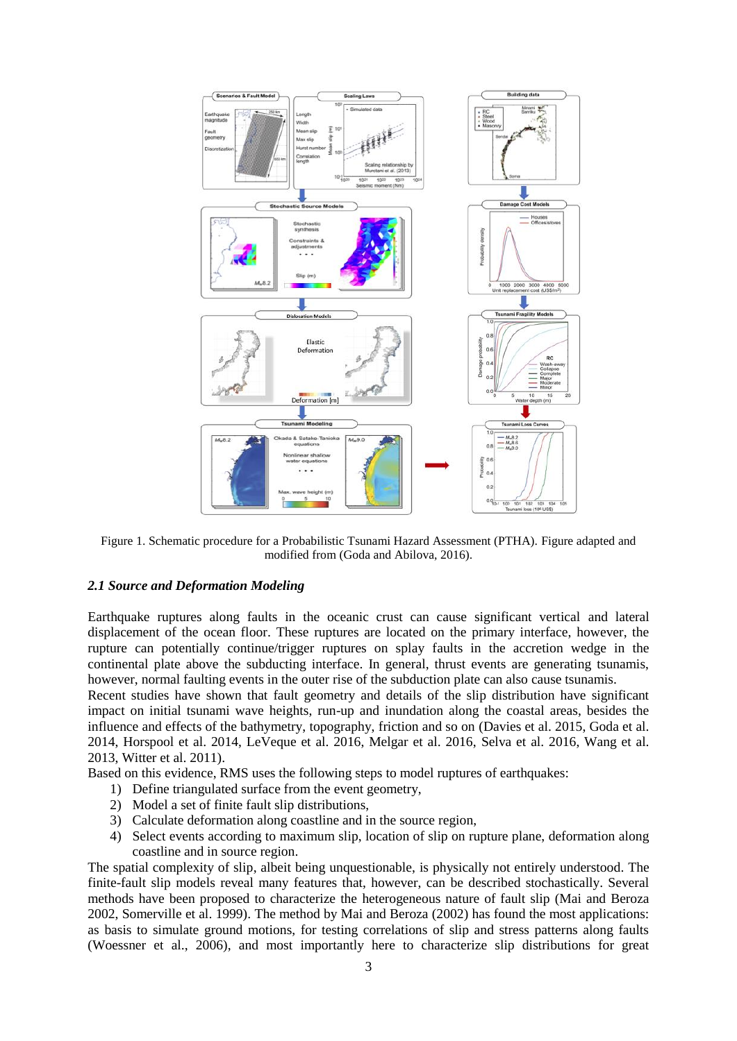

<span id="page-2-0"></span>Figure 1. Schematic procedure for a Probabilistic Tsunami Hazard Assessment (PTHA). Figure adapted and modified from (Goda and Abilova, 2016).

#### *2.1 Source and Deformation Modeling*

Earthquake ruptures along faults in the oceanic crust can cause significant vertical and lateral displacement of the ocean floor. These ruptures are located on the primary interface, however, the rupture can potentially continue/trigger ruptures on splay faults in the accretion wedge in the continental plate above the subducting interface. In general, thrust events are generating tsunamis, however, normal faulting events in the outer rise of the subduction plate can also cause tsunamis.

Recent studies have shown that fault geometry and details of the slip distribution have significant impact on initial tsunami wave heights, run-up and inundation along the coastal areas, besides the influence and effects of the bathymetry, topography, friction and so on (Davies et al. 2015, Goda et al. 2014, Horspool et al. 2014, LeVeque et al. 2016, Melgar et al. 2016, Selva et al. 2016, Wang et al. 2013, Witter et al. 2011).

Based on this evidence, RMS uses the following steps to model ruptures of earthquakes:

- 1) Define triangulated surface from the event geometry,
- 2) Model a set of finite fault slip distributions,
- 3) Calculate deformation along coastline and in the source region,
- 4) Select events according to maximum slip, location of slip on rupture plane, deformation along coastline and in source region.

The spatial complexity of slip, albeit being unquestionable, is physically not entirely understood. The finite-fault slip models reveal many features that, however, can be described stochastically. Several methods have been proposed to characterize the heterogeneous nature of fault slip (Mai and Beroza 2002, Somerville et al. 1999). The method by Mai and Beroza (2002) has found the most applications: as basis to simulate ground motions, for testing correlations of slip and stress patterns along faults (Woessner et al., 2006), and most importantly here to characterize slip distributions for great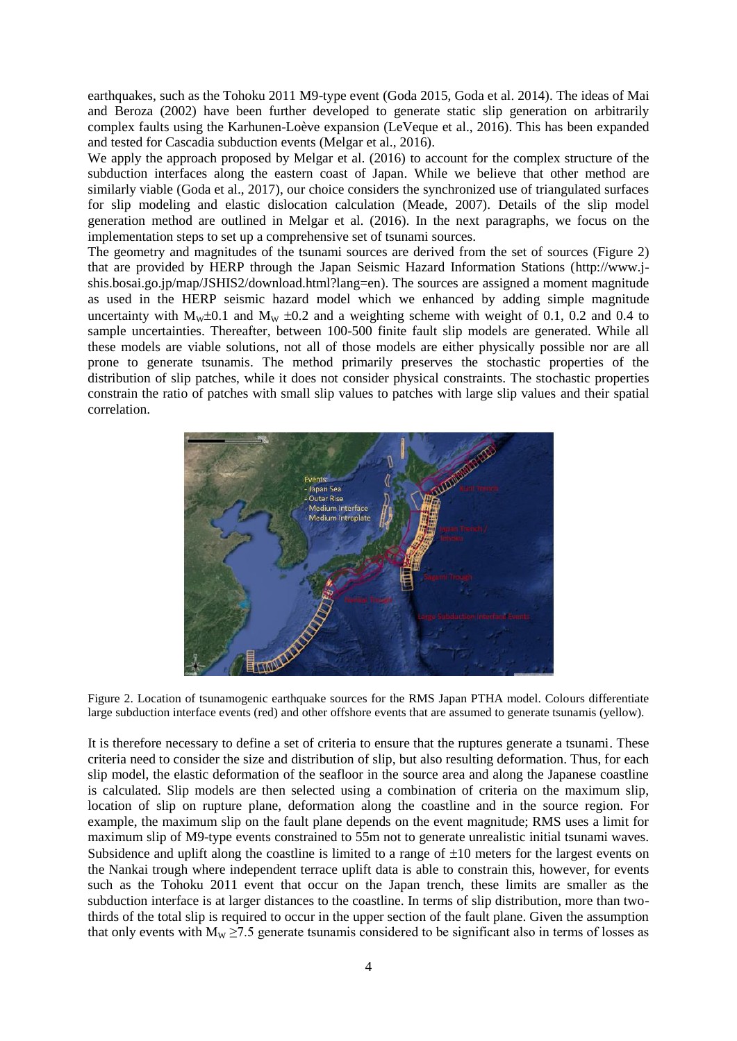earthquakes, such as the Tohoku 2011 M9-type event (Goda 2015, Goda et al. 2014). The ideas of Mai and Beroza (2002) have been further developed to generate static slip generation on arbitrarily complex faults using the Karhunen-Loève expansion (LeVeque et al., 2016). This has been expanded and tested for Cascadia subduction events (Melgar et al., 2016).

We apply the approach proposed by Melgar et al. (2016) to account for the complex structure of the subduction interfaces along the eastern coast of Japan. While we believe that other method are similarly viable (Goda et al., 2017), our choice considers the synchronized use of triangulated surfaces for slip modeling and elastic dislocation calculation (Meade, 2007). Details of the slip model generation method are outlined in Melgar et al. (2016). In the next paragraphs, we focus on the implementation steps to set up a comprehensive set of tsunami sources.

The geometry and magnitudes of the tsunami sources are derived from the set of sources (Figure 2) that are provided by HERP through the Japan Seismic Hazard Information Stations (http://www.jshis.bosai.go.jp/map/JSHIS2/download.html?lang=en). The sources are assigned a moment magnitude as used in the HERP seismic hazard model which we enhanced by adding simple magnitude uncertainty with  $M_w \pm 0.1$  and  $M_w \pm 0.2$  and a weighting scheme with weight of 0.1, 0.2 and 0.4 to sample uncertainties. Thereafter, between 100-500 finite fault slip models are generated. While all these models are viable solutions, not all of those models are either physically possible nor are all prone to generate tsunamis. The method primarily preserves the stochastic properties of the distribution of slip patches, while it does not consider physical constraints. The stochastic properties constrain the ratio of patches with small slip values to patches with large slip values and their spatial correlation.



Figure 2. Location of tsunamogenic earthquake sources for the RMS Japan PTHA model. Colours differentiate large subduction interface events (red) and other offshore events that are assumed to generate tsunamis (yellow).

It is therefore necessary to define a set of criteria to ensure that the ruptures generate a tsunami. These criteria need to consider the size and distribution of slip, but also resulting deformation. Thus, for each slip model, the elastic deformation of the seafloor in the source area and along the Japanese coastline is calculated. Slip models are then selected using a combination of criteria on the maximum slip, location of slip on rupture plane, deformation along the coastline and in the source region. For example, the maximum slip on the fault plane depends on the event magnitude; RMS uses a limit for maximum slip of M9-type events constrained to 55m not to generate unrealistic initial tsunami waves. Subsidence and uplift along the coastline is limited to a range of  $\pm 10$  meters for the largest events on the Nankai trough where independent terrace uplift data is able to constrain this, however, for events such as the Tohoku 2011 event that occur on the Japan trench, these limits are smaller as the subduction interface is at larger distances to the coastline. In terms of slip distribution, more than twothirds of the total slip is required to occur in the upper section of the fault plane. Given the assumption that only events with  $M_W \ge 7.5$  generate tsunamis considered to be significant also in terms of losses as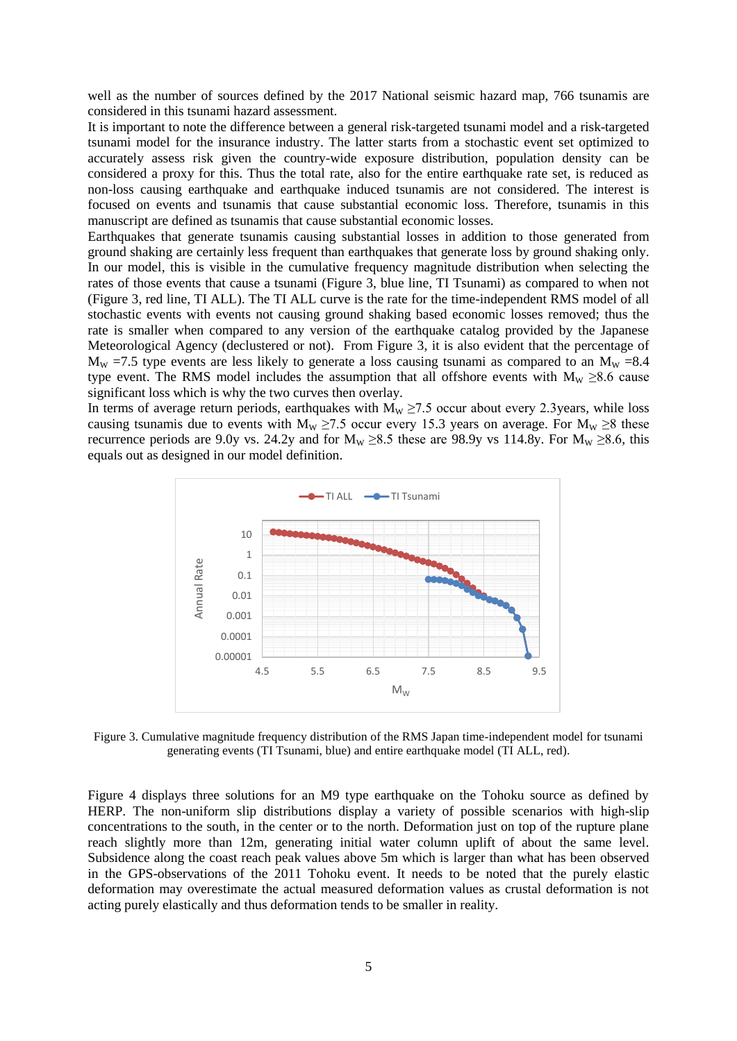well as the number of sources defined by the 2017 National seismic hazard map, 766 tsunamis are considered in this tsunami hazard assessment.

It is important to note the difference between a general risk-targeted tsunami model and a risk-targeted tsunami model for the insurance industry. The latter starts from a stochastic event set optimized to accurately assess risk given the country-wide exposure distribution, population density can be considered a proxy for this. Thus the total rate, also for the entire earthquake rate set, is reduced as non-loss causing earthquake and earthquake induced tsunamis are not considered. The interest is focused on events and tsunamis that cause substantial economic loss. Therefore, tsunamis in this manuscript are defined as tsunamis that cause substantial economic losses.

Earthquakes that generate tsunamis causing substantial losses in addition to those generated from ground shaking are certainly less frequent than earthquakes that generate loss by ground shaking only. In our model, this is visible in the cumulative frequency magnitude distribution when selecting the rates of those events that cause a tsunami [\(Figure 3,](#page-4-0) blue line, TI Tsunami) as compared to when not [\(Figure 3,](#page-4-0) red line, TI ALL). The TI ALL curve is the rate for the time-independent RMS model of all stochastic events with events not causing ground shaking based economic losses removed; thus the rate is smaller when compared to any version of the earthquake catalog provided by the Japanese Meteorological Agency (declustered or not). From [Figure 3,](#page-4-0) it is also evident that the percentage of  $M_W = 7.5$  type events are less likely to generate a loss causing tsunami as compared to an  $M_W = 8.4$ type event. The RMS model includes the assumption that all offshore events with  $M_W \ge 8.6$  cause significant loss which is why the two curves then overlay.

In terms of average return periods, earthquakes with  $M_w \ge 7.5$  occur about every 2.3years, while loss causing tsunamis due to events with  $M_W \ge 7.5$  occur every 15.3 years on average. For  $M_W \ge 8$  these recurrence periods are 9.0y vs. 24.2y and for  $M_W \ge 8.5$  these are 98.9y vs 114.8y. For  $M_W \ge 8.6$ , this equals out as designed in our model definition.



<span id="page-4-0"></span>Figure 3. Cumulative magnitude frequency distribution of the RMS Japan time-independent model for tsunami generating events (TI Tsunami, blue) and entire earthquake model (TI ALL, red).

[Figure 4](#page-5-0) displays three solutions for an M9 type earthquake on the Tohoku source as defined by HERP. The non-uniform slip distributions display a variety of possible scenarios with high-slip concentrations to the south, in the center or to the north. Deformation just on top of the rupture plane reach slightly more than 12m, generating initial water column uplift of about the same level. Subsidence along the coast reach peak values above 5m which is larger than what has been observed in the GPS-observations of the 2011 Tohoku event. It needs to be noted that the purely elastic deformation may overestimate the actual measured deformation values as crustal deformation is not acting purely elastically and thus deformation tends to be smaller in reality.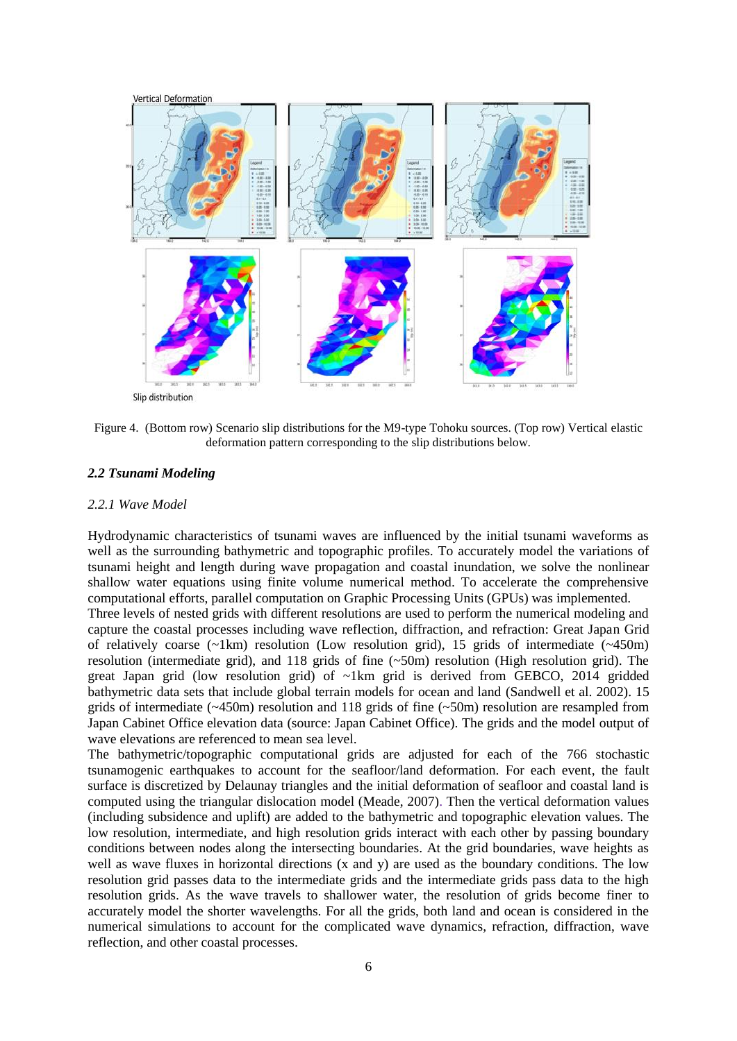

Slip distribution

<span id="page-5-0"></span>Figure 4. (Bottom row) Scenario slip distributions for the M9-type Tohoku sources. (Top row) Vertical elastic deformation pattern corresponding to the slip distributions below.

#### *2.2 Tsunami Modeling*

#### *2.2.1 Wave Model*

Hydrodynamic characteristics of tsunami waves are influenced by the initial tsunami waveforms as well as the surrounding bathymetric and topographic profiles. To accurately model the variations of tsunami height and length during wave propagation and coastal inundation, we solve the nonlinear shallow water equations using finite volume numerical method. To accelerate the comprehensive computational efforts, parallel computation on Graphic Processing Units (GPUs) was implemented.

Three levels of nested grids with different resolutions are used to perform the numerical modeling and capture the coastal processes including wave reflection, diffraction, and refraction: Great Japan Grid of relatively coarse  $(\sim 1 \text{km})$  resolution (Low resolution grid), 15 grids of intermediate  $(\sim 450 \text{m})$ resolution (intermediate grid), and 118 grids of fine (~50m) resolution (High resolution grid). The great Japan grid (low resolution grid) of ~1km grid is derived from GEBCO, 2014 gridded bathymetric data sets that include global terrain models for ocean and land (Sandwell et al. 2002). 15 grids of intermediate  $(-450m)$  resolution and 118 grids of fine  $(-50m)$  resolution are resampled from Japan Cabinet Office elevation data (source: Japan Cabinet Office). The grids and the model output of wave elevations are referenced to mean sea level.

The bathymetric/topographic computational grids are adjusted for each of the 766 stochastic tsunamogenic earthquakes to account for the seafloor/land deformation. For each event, the fault surface is discretized by Delaunay triangles and the initial deformation of seafloor and coastal land is computed using the triangular dislocation model (Meade, 2007). Then the vertical deformation values (including subsidence and uplift) are added to the bathymetric and topographic elevation values. The low resolution, intermediate, and high resolution grids interact with each other by passing boundary conditions between nodes along the intersecting boundaries. At the grid boundaries, wave heights as well as wave fluxes in horizontal directions (x and y) are used as the boundary conditions. The low resolution grid passes data to the intermediate grids and the intermediate grids pass data to the high resolution grids. As the wave travels to shallower water, the resolution of grids become finer to accurately model the shorter wavelengths. For all the grids, both land and ocean is considered in the numerical simulations to account for the complicated wave dynamics, refraction, diffraction, wave reflection, and other coastal processes.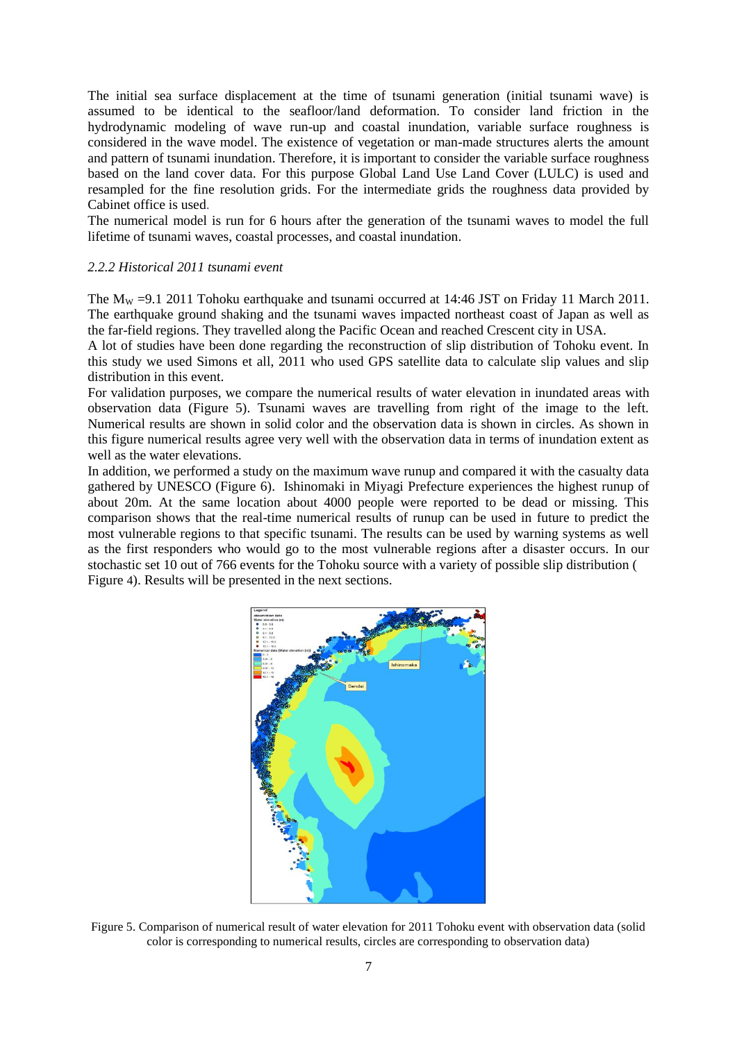The initial sea surface displacement at the time of tsunami generation (initial tsunami wave) is assumed to be identical to the seafloor/land deformation. To consider land friction in the hydrodynamic modeling of wave run-up and coastal inundation, variable surface roughness is considered in the wave model. The existence of vegetation or man-made structures alerts the amount and pattern of tsunami inundation. Therefore, it is important to consider the variable surface roughness based on the land cover data. For this purpose Global Land Use Land Cover (LULC) is used and resampled for the fine resolution grids. For the intermediate grids the roughness data provided by Cabinet office is used.

The numerical model is run for 6 hours after the generation of the tsunami waves to model the full lifetime of tsunami waves, coastal processes, and coastal inundation.

#### *2.2.2 Historical 2011 tsunami event*

The  $M_W = 9.1$  2011 Tohoku earthquake and tsunami occurred at 14:46 JST on Friday 11 March 2011. The earthquake ground shaking and the tsunami waves impacted northeast coast of Japan as well as the far-field regions. They travelled along the Pacific Ocean and reached Crescent city in USA.

A lot of studies have been done regarding the reconstruction of slip distribution of Tohoku event. In this study we used Simons et all, 2011 who used GPS satellite data to calculate slip values and slip distribution in this event.

For validation purposes, we compare the numerical results of water elevation in inundated areas with observation data (Figure 5). Tsunami waves are travelling from right of the image to the left. Numerical results are shown in solid color and the observation data is shown in circles. As shown in this figure numerical results agree very well with the observation data in terms of inundation extent as well as the water elevations.

In addition, we performed a study on the maximum wave runup and compared it with the casualty data gathered by UNESCO (Figure 6). Ishinomaki in Miyagi Prefecture experiences the highest runup of about 20m. At the same location about 4000 people were reported to be dead or missing. This comparison shows that the real-time numerical results of runup can be used in future to predict the most vulnerable regions to that specific tsunami. The results can be used by warning systems as well as the first responders who would go to the most vulnerable regions after a disaster occurs. In our stochastic set 10 out of 766 events for the Tohoku source with a variety of possible slip distribution [\(](#page-5-0) [Figure](#page-5-0) 4). Results will be presented in the next sections.



Figure 5. Comparison of numerical result of water elevation for 2011 Tohoku event with observation data (solid color is corresponding to numerical results, circles are corresponding to observation data)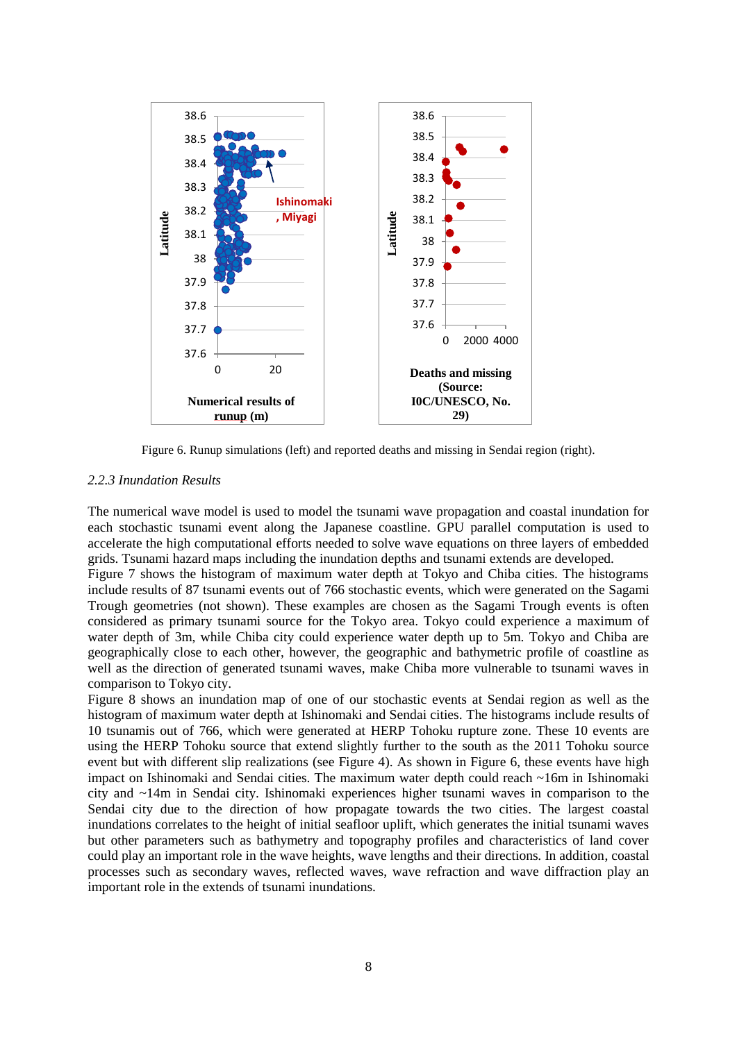

Figure 6. Runup simulations (left) and reported deaths and missing in Sendai region (right).

## *2.2.3 Inundation Results*

The numerical wave model is used to model the tsunami wave propagation and coastal inundation for each stochastic tsunami event along the Japanese coastline. GPU parallel computation is used to accelerate the high computational efforts needed to solve wave equations on three layers of embedded grids. Tsunami hazard maps including the inundation depths and tsunami extends are developed.

Figure 7 shows the histogram of maximum water depth at Tokyo and Chiba cities. The histograms include results of 87 tsunami events out of 766 stochastic events, which were generated on the Sagami Trough geometries (not shown). These examples are chosen as the Sagami Trough events is often considered as primary tsunami source for the Tokyo area. Tokyo could experience a maximum of water depth of 3m, while Chiba city could experience water depth up to 5m. Tokyo and Chiba are geographically close to each other, however, the geographic and bathymetric profile of coastline as well as the direction of generated tsunami waves, make Chiba more vulnerable to tsunami waves in comparison to Tokyo city.

Figure 8 shows an inundation map of one of our stochastic events at Sendai region as well as the histogram of maximum water depth at Ishinomaki and Sendai cities. The histograms include results of 10 tsunamis out of 766, which were generated at HERP Tohoku rupture zone. These 10 events are using the HERP Tohoku source that extend slightly further to the south as the 2011 Tohoku source event but with different slip realizations (see Figure 4). As shown in Figure 6, these events have high impact on Ishinomaki and Sendai cities. The maximum water depth could reach ~16m in Ishinomaki city and ~14m in Sendai city. Ishinomaki experiences higher tsunami waves in comparison to the Sendai city due to the direction of how propagate towards the two cities. The largest coastal inundations correlates to the height of initial seafloor uplift, which generates the initial tsunami waves but other parameters such as bathymetry and topography profiles and characteristics of land cover could play an important role in the wave heights, wave lengths and their directions. In addition, coastal processes such as secondary waves, reflected waves, wave refraction and wave diffraction play an important role in the extends of tsunami inundations.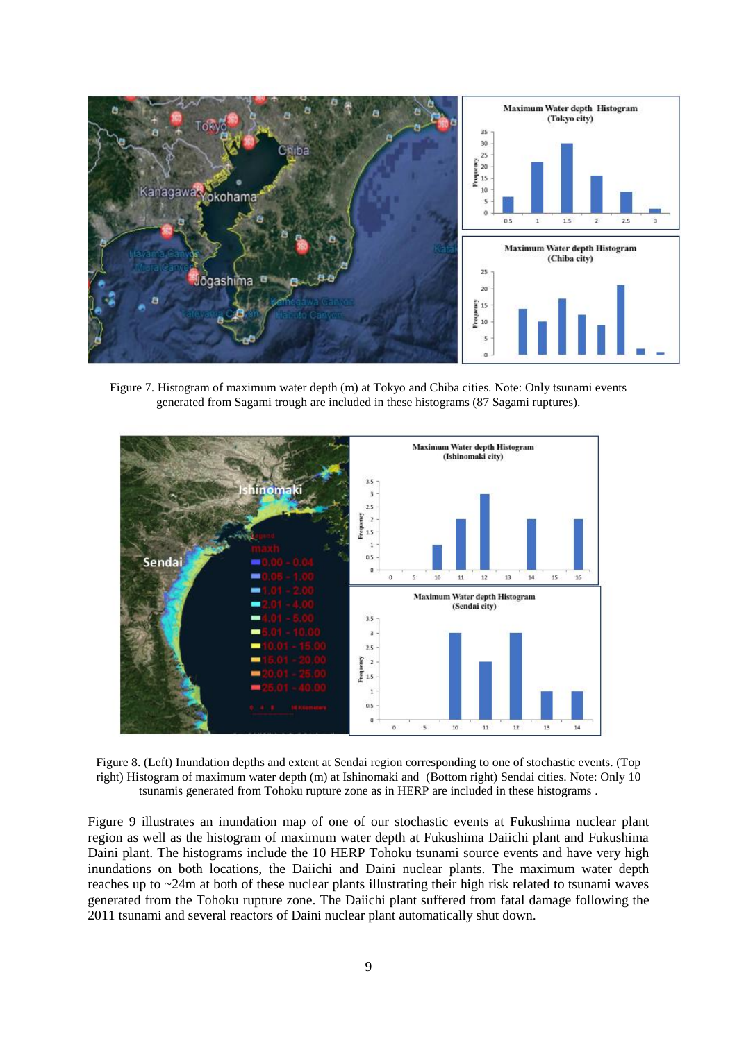

Figure 7. Histogram of maximum water depth (m) at Tokyo and Chiba cities. Note: Only tsunami events generated from Sagami trough are included in these histograms (87 Sagami ruptures).



Figure 8. (Left) Inundation depths and extent at Sendai region corresponding to one of stochastic events. (Top right) Histogram of maximum water depth (m) at Ishinomaki and (Bottom right) Sendai cities. Note: Only 10 tsunamis generated from Tohoku rupture zone as in HERP are included in these histograms .

Figure 9 illustrates an inundation map of one of our stochastic events at Fukushima nuclear plant region as well as the histogram of maximum water depth at Fukushima Daiichi plant and Fukushima Daini plant. The histograms include the 10 HERP Tohoku tsunami source events and have very high inundations on both locations, the Daiichi and Daini nuclear plants. The maximum water depth reaches up to ~24m at both of these nuclear plants illustrating their high risk related to tsunami waves generated from the Tohoku rupture zone. The Daiichi plant suffered from fatal damage following the 2011 tsunami and several reactors of Daini nuclear plant automatically shut down.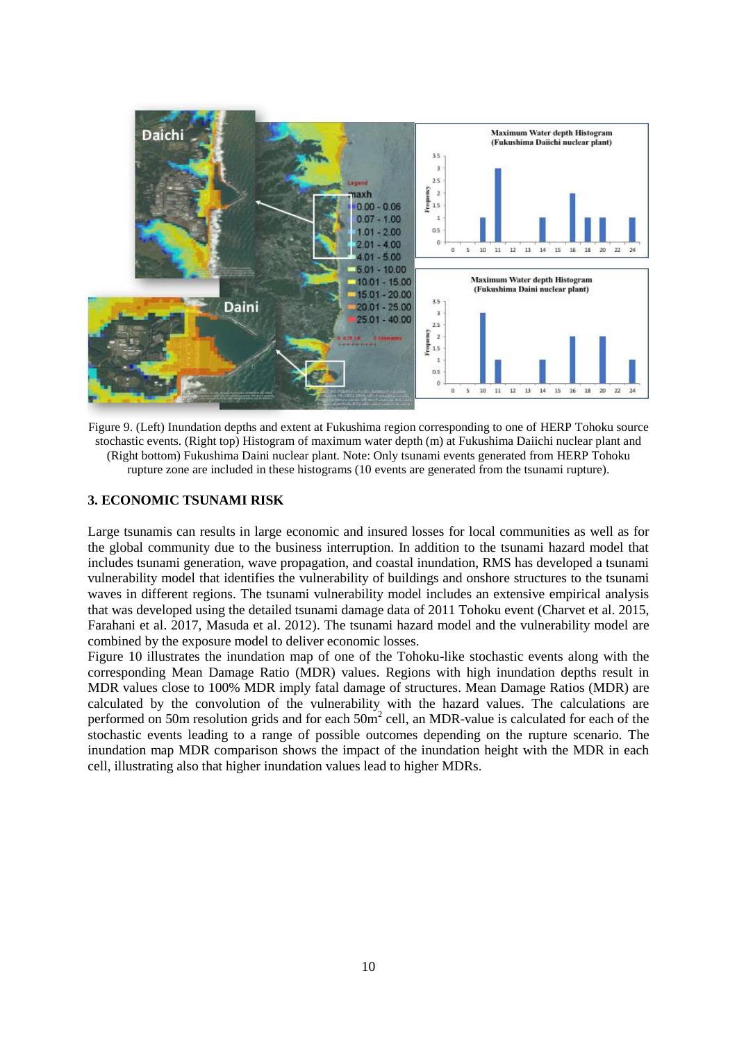

Figure 9. (Left) Inundation depths and extent at Fukushima region corresponding to one of HERP Tohoku source stochastic events. (Right top) Histogram of maximum water depth (m) at Fukushima Daiichi nuclear plant and (Right bottom) Fukushima Daini nuclear plant. Note: Only tsunami events generated from HERP Tohoku rupture zone are included in these histograms (10 events are generated from the tsunami rupture).

# **3. ECONOMIC TSUNAMI RISK**

Large tsunamis can results in large economic and insured losses for local communities as well as for the global community due to the business interruption. In addition to the tsunami hazard model that includes tsunami generation, wave propagation, and coastal inundation, RMS has developed a tsunami vulnerability model that identifies the vulnerability of buildings and onshore structures to the tsunami waves in different regions. The tsunami vulnerability model includes an extensive empirical analysis that was developed using the detailed tsunami damage data of 2011 Tohoku event (Charvet et al. 2015, Farahani et al. 2017, Masuda et al. 2012). The tsunami hazard model and the vulnerability model are combined by the exposure model to deliver economic losses.

Figure 10 illustrates the inundation map of one of the Tohoku-like stochastic events along with the corresponding Mean Damage Ratio (MDR) values. Regions with high inundation depths result in MDR values close to 100% MDR imply fatal damage of structures. Mean Damage Ratios (MDR) are calculated by the convolution of the vulnerability with the hazard values. The calculations are performed on 50m resolution grids and for each  $50m^2$  cell, an MDR-value is calculated for each of the stochastic events leading to a range of possible outcomes depending on the rupture scenario. The inundation map MDR comparison shows the impact of the inundation height with the MDR in each cell, illustrating also that higher inundation values lead to higher MDRs.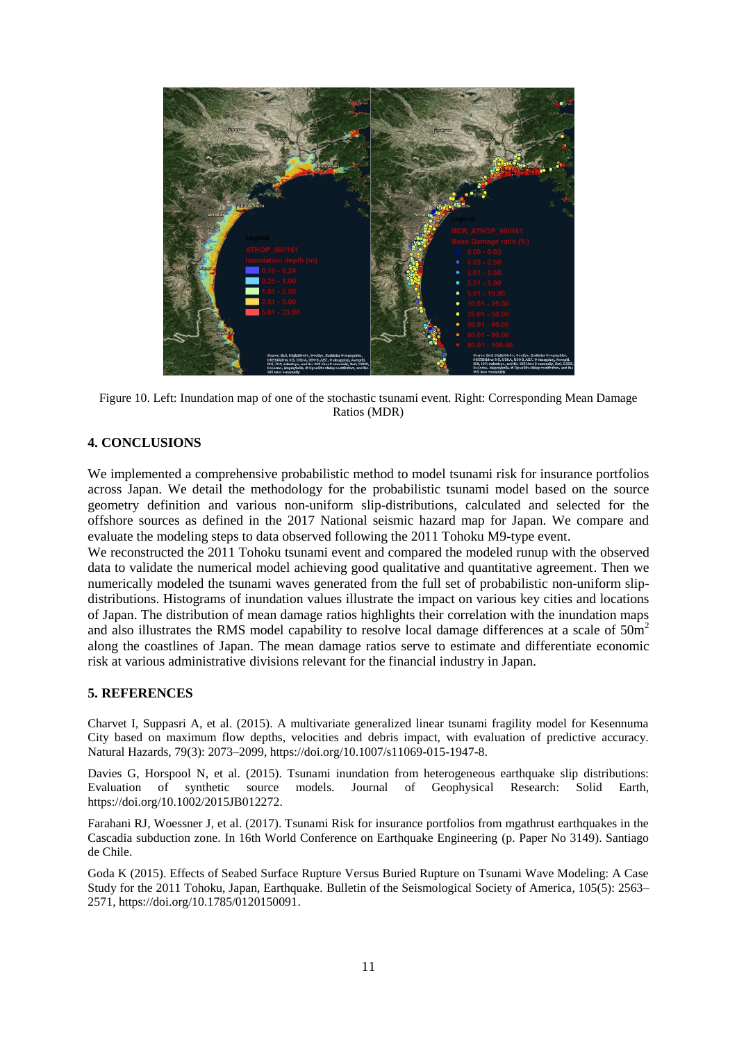

Figure 10. Left: Inundation map of one of the stochastic tsunami event. Right: Corresponding Mean Damage Ratios (MDR)

# **4. CONCLUSIONS**

We implemented a comprehensive probabilistic method to model tsunami risk for insurance portfolios across Japan. We detail the methodology for the probabilistic tsunami model based on the source geometry definition and various non-uniform slip-distributions, calculated and selected for the offshore sources as defined in the 2017 National seismic hazard map for Japan. We compare and evaluate the modeling steps to data observed following the 2011 Tohoku M9-type event.

We reconstructed the 2011 Tohoku tsunami event and compared the modeled runup with the observed data to validate the numerical model achieving good qualitative and quantitative agreement. Then we numerically modeled the tsunami waves generated from the full set of probabilistic non-uniform slipdistributions. Histograms of inundation values illustrate the impact on various key cities and locations of Japan. The distribution of mean damage ratios highlights their correlation with the inundation maps and also illustrates the RMS model capability to resolve local damage differences at a scale of  $50m<sup>2</sup>$ along the coastlines of Japan. The mean damage ratios serve to estimate and differentiate economic risk at various administrative divisions relevant for the financial industry in Japan.

#### **5. REFERENCES**

Charvet I, Suppasri A, et al. (2015). A multivariate generalized linear tsunami fragility model for Kesennuma City based on maximum flow depths, velocities and debris impact, with evaluation of predictive accuracy. Natural Hazards, 79(3): 2073–2099, https://doi.org/10.1007/s11069-015-1947-8.

Davies G, Horspool N, et al. (2015). Tsunami inundation from heterogeneous earthquake slip distributions: Evaluation of synthetic source models. Journal of Geophysical Research: Solid Earth, https://doi.org/10.1002/2015JB012272.

Farahani RJ, Woessner J, et al. (2017). Tsunami Risk for insurance portfolios from mgathrust earthquakes in the Cascadia subduction zone. In 16th World Conference on Earthquake Engineering (p. Paper No 3149). Santiago de Chile.

Goda K (2015). Effects of Seabed Surface Rupture Versus Buried Rupture on Tsunami Wave Modeling: A Case Study for the 2011 Tohoku, Japan, Earthquake. Bulletin of the Seismological Society of America, 105(5): 2563– 2571, https://doi.org/10.1785/0120150091.